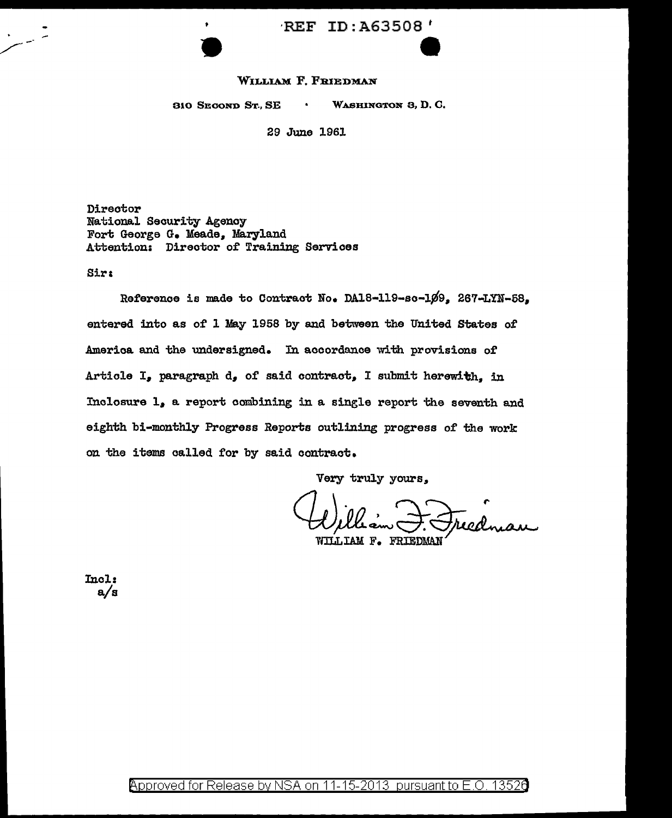# ·REF ID: A63508 <sup>t</sup>  $\bullet$

#### WILLIAM F. FRIEDMAN

310 SEOOND ST., SE WASHINGTON 3, D. c.

29 June 1961

Director National Security Agency Fort George G. Meade. Maryland Attention: Direotor of Training Services

Sirt

Reference is made to Contract No. DA18-119-sc-109. 267-LYN-58. entered into as of l May 1958 by and between the United States of Amerioa and the undersigned. In accordance with provisions of Article I, paragraph d, of said contract, I submit herewith, in Inclosure 1, a report combining in a single report the seventh and eighth bi-monthly Progress Reports outlining progress of the work on the items called for by said contract.

Very truly yours,,

WILLIAM F. FRIEDMAN

Incl: a/a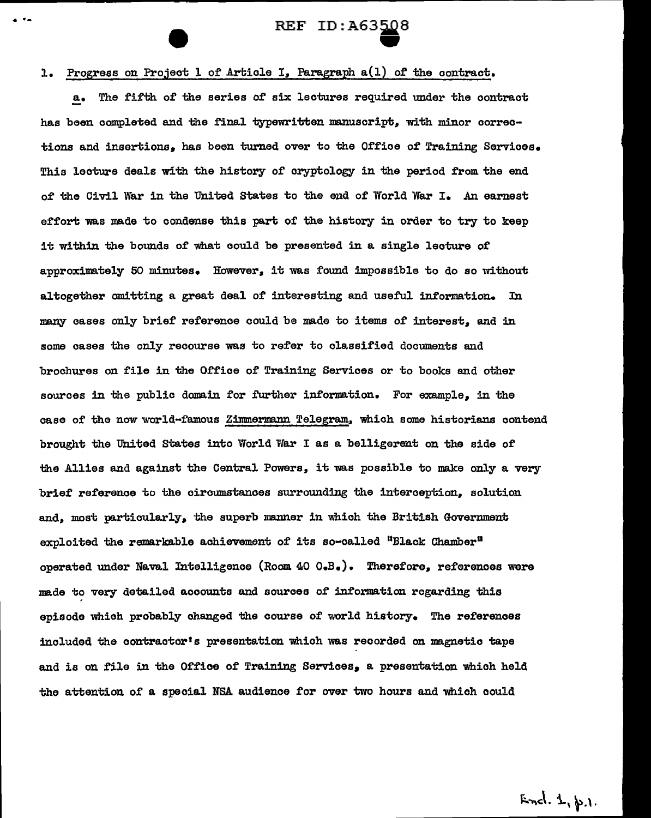. ·~ REF ID:A63~8 er<br>E

#### 1. Progress on Project 1 of Article I, Paragraph  $a(1)$  of the contract.

a. The fifth of the series of six lectures required under the contract has been completed and the final typewritten manuscript. with minor corrections and insertions, has been turned over to the Office of Training Services. This lecture deals with the history of cryptology in the period from the end of the Civil War in the United States to the end of World War I. An earnest effort was made to condense this part of the history in order to try to keep it within the bounds of what could be presented in a single lecture of approximately 50 minutes. However, it was found impossible to do so without altogether omitting a great deal of interesting and useful information. In many cases only brief reference could be made to items of interest. and in some cases the only recourse was to refer to classified documents and brochures on file in the Office of Training Services or to books and other sources in the public domain for further information. For example, in the case of the now world-famous Zimmermann Telegram. which some historians contend brought the United States into World War I as a belligerent on the side of the Allies and against the Central Powers, it was possible to make only a very brief reference to the circumstances surrounding the interception. solution and. most particularly, the superb manner in which the British Government exploited the remarkable achievement of its so-called "Black Chamber" operated under Naval Intelligence (Room 40  $0eB$ .). Therefore, references were made to very detailed accounts and sources of information regarding this episode which probably changed the course of world history. The references included the contractor's presentation 1mich was recorded on magnetic tape and is on file in the Office of Training Services, a presentation which held the attention of a special NBA audience for over two hours and which could